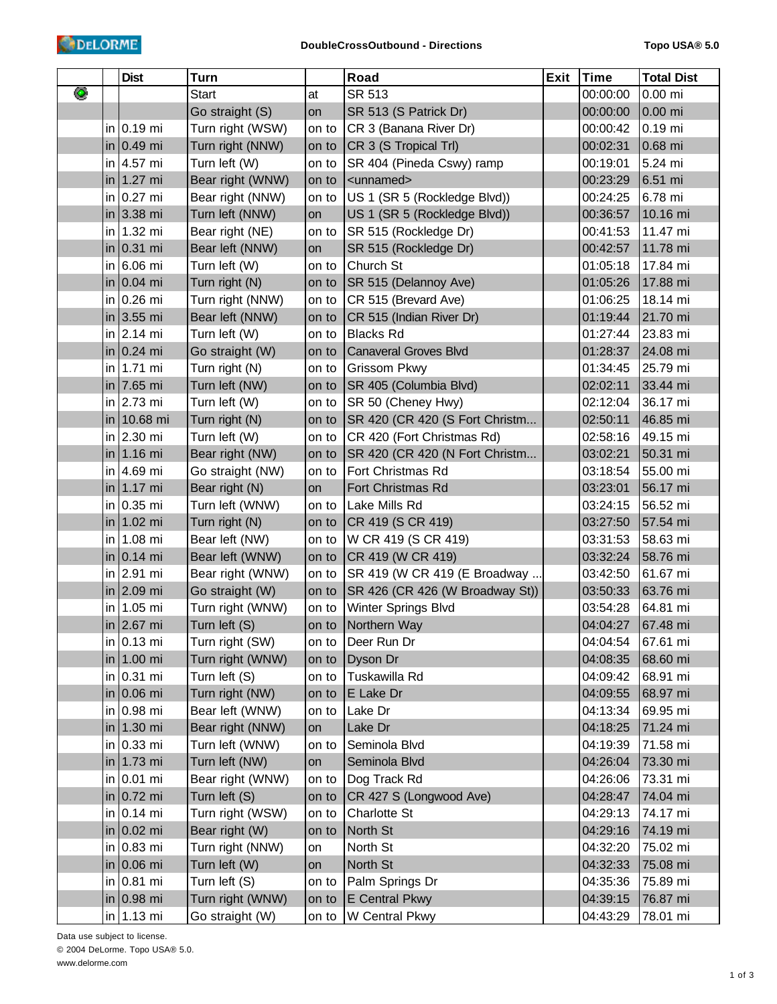|   | <b>Dist</b>    | <b>Turn</b>      |       | Road                            | <b>Exit</b> | <b>Time</b> | <b>Total Dist</b> |
|---|----------------|------------------|-------|---------------------------------|-------------|-------------|-------------------|
| ◉ |                | <b>Start</b>     | at    | SR 513                          |             | 00:00:00    | 0.00 mi           |
|   |                | Go straight (S)  | on    | SR 513 (S Patrick Dr)           |             | 00:00:00    | $0.00$ mi         |
|   | in $0.19$ mi   | Turn right (WSW) | on to | CR 3 (Banana River Dr)          |             | 00:00:42    | 0.19 mi           |
|   | in 0.49 mi     | Turn right (NNW) | on to | CR 3 (S Tropical Trl)           |             | 00:02:31    | 0.68 mi           |
|   | in $4.57$ mi   | Turn left (W)    | on to | SR 404 (Pineda Cswy) ramp       |             | 00:19:01    | 5.24 mi           |
|   | in 1.27 mi     | Bear right (WNW) | on to | <unnamed></unnamed>             |             | 00:23:29    | 6.51 mi           |
|   | in $0.27$ mi   | Bear right (NNW) | on to | US 1 (SR 5 (Rockledge Blvd))    |             | 00:24:25    | 6.78 mi           |
|   | in 3.38 mi     | Turn left (NNW)  | on    | US 1 (SR 5 (Rockledge Blvd))    |             | 00:36:57    | 10.16 mi          |
|   | in $1.32$ mi   | Bear right (NE)  | on to | SR 515 (Rockledge Dr)           |             | 00:41:53    | 11.47 mi          |
|   | in 0.31 mi     | Bear left (NNW)  | on    | SR 515 (Rockledge Dr)           |             | 00:42:57    | 11.78 mi          |
|   | in $6.06$ mi   | Turn left (W)    | on to | Church St                       |             | 01:05:18    | 17.84 mi          |
|   | in 0.04 mi     | Turn right (N)   | on to | SR 515 (Delannoy Ave)           |             | 01:05:26    | 17.88 mi          |
|   | in $0.26$ mi   | Turn right (NNW) | on to | CR 515 (Brevard Ave)            |             | 01:06:25    | 18.14 mi          |
|   | in 3.55 mi     | Bear left (NNW)  | on to | CR 515 (Indian River Dr)        |             | 01:19:44    | 21.70 mi          |
|   | in $2.14$ mi   | Turn left (W)    | on to | <b>Blacks Rd</b>                |             | 01:27:44    | 23.83 mi          |
|   | $\ln 0.24$ mi  | Go straight (W)  | on to | <b>Canaveral Groves Blvd</b>    |             | 01:28:37    | 24.08 mi          |
|   | in   $1.71$ mi | Turn right (N)   | on to | <b>Grissom Pkwy</b>             |             | 01:34:45    | 25.79 mi          |
|   | in 7.65 mi     | Turn left (NW)   | on to | SR 405 (Columbia Blvd)          |             | 02:02:11    | 33.44 mi          |
|   | in $2.73$ mi   | Turn left (W)    | on to | SR 50 (Cheney Hwy)              |             | 02:12:04    | 36.17 mi          |
|   | in 10.68 mi    | Turn right (N)   | on to | SR 420 (CR 420 (S Fort Christm  |             | 02:50:11    | 46.85 mi          |
|   | in $2.30$ mi   | Turn left (W)    | on to | CR 420 (Fort Christmas Rd)      |             | 02:58:16    | 49.15 mi          |
|   | in 1.16 mi     | Bear right (NW)  | on to | SR 420 (CR 420 (N Fort Christm  |             | 03:02:21    | 50.31 mi          |
|   | in 4.69 mi     | Go straight (NW) | on to | Fort Christmas Rd               |             | 03:18:54    | 55.00 mi          |
|   | in 1.17 mi     | Bear right (N)   | on    | Fort Christmas Rd               |             | 03:23:01    | 56.17 mi          |
|   | in 0.35 mi     | Turn left (WNW)  | on to | Lake Mills Rd                   |             | 03:24:15    | 56.52 mi          |
|   | in 1.02 mi     | Turn right (N)   | on to | CR 419 (S CR 419)               |             | 03:27:50    | 57.54 mi          |
|   | in $1.08$ mi   | Bear left (NW)   | on to | W CR 419 (S CR 419)             |             | 03:31:53    | 58.63 mi          |
|   | $\ln 0.14$ mi  | Bear left (WNW)  | on to | CR 419 (W CR 419)               |             | 03:32:24    | 58.76 mi          |
|   | in $2.91$ mi   | Bear right (WNW) | on to | SR 419 (W CR 419 (E Broadway    |             | 03:42:50    | 61.67 mi          |
|   | in 2.09 mi     | Go straight (W)  | on to | SR 426 (CR 426 (W Broadway St)) |             | 03:50:33    | 63.76 mi          |
|   | in 1.05 mi     | Turn right (WNW) | on to | Winter Springs Blvd             |             | 03:54:28    | 64.81 mi          |
|   | in 2.67 mi     | Turn left (S)    | on to | Northern Way                    |             | 04:04:27    | 67.48 mi          |
|   | in $0.13$ mi   | Turn right (SW)  | on to | Deer Run Dr                     |             | 04:04:54    | 67.61 mi          |
|   | in 1.00 mi     | Turn right (WNW) | on to | Dyson Dr                        |             | 04:08:35    | 68.60 mi          |
|   | in $0.31$ mi   | Turn left (S)    | on to | Tuskawilla Rd                   |             | 04:09:42    | 68.91 mi          |
|   | in 0.06 mi     | Turn right (NW)  | on to | E Lake Dr                       |             | 04:09:55    | 68.97 mi          |
|   | in $0.98$ mi   | Bear left (WNW)  | on to | Lake Dr                         |             | 04:13:34    | 69.95 mi          |
|   | in 1.30 mi     | Bear right (NNW) | on    | Lake Dr                         |             | 04:18:25    | 71.24 mi          |
|   | in $0.33$ mi   | Turn left (WNW)  | on to | Seminola Blvd                   |             | 04:19:39    | 71.58 mi          |
|   | in 1.73 mi     | Turn left (NW)   | on    | Seminola Blvd                   |             | 04:26:04    | 73.30 mi          |
|   | in $0.01$ mi   | Bear right (WNW) | on to | Dog Track Rd                    |             | 04:26:06    | 73.31 mi          |
|   | $\ln 0.72$ mi  | Turn left (S)    | on to | CR 427 S (Longwood Ave)         |             | 04:28:47    | 74.04 mi          |
|   | in $0.14$ mi   | Turn right (WSW) | on to | Charlotte St                    |             | 04:29:13    | 74.17 mi          |
|   | $\ln 0.02$ mi  | Bear right (W)   | on to | North St                        |             | 04:29:16    | 74.19 mi          |
|   | in $0.83$ mi   | Turn right (NNW) | on    | North St                        |             | 04:32:20    | 75.02 mi          |
|   | $\ln 0.06$ mi  | Turn left (W)    | on    | North St                        |             | 04:32:33    | 75.08 mi          |
|   | in $0.81$ mi   | Turn left (S)    | on to | Palm Springs Dr                 |             | 04:35:36    | 75.89 mi          |
|   | $\ln 0.98$ mi  | Turn right (WNW) | on to | E Central Pkwy                  |             | 04:39:15    | 76.87 mi          |
|   | in $1.13$ mi   | Go straight (W)  | on to | W Central Pkwy                  |             | 04:43:29    | 78.01 mi          |

Data use subject to license. © 2004 DeLorme. Topo USA® 5.0. www.delorme.com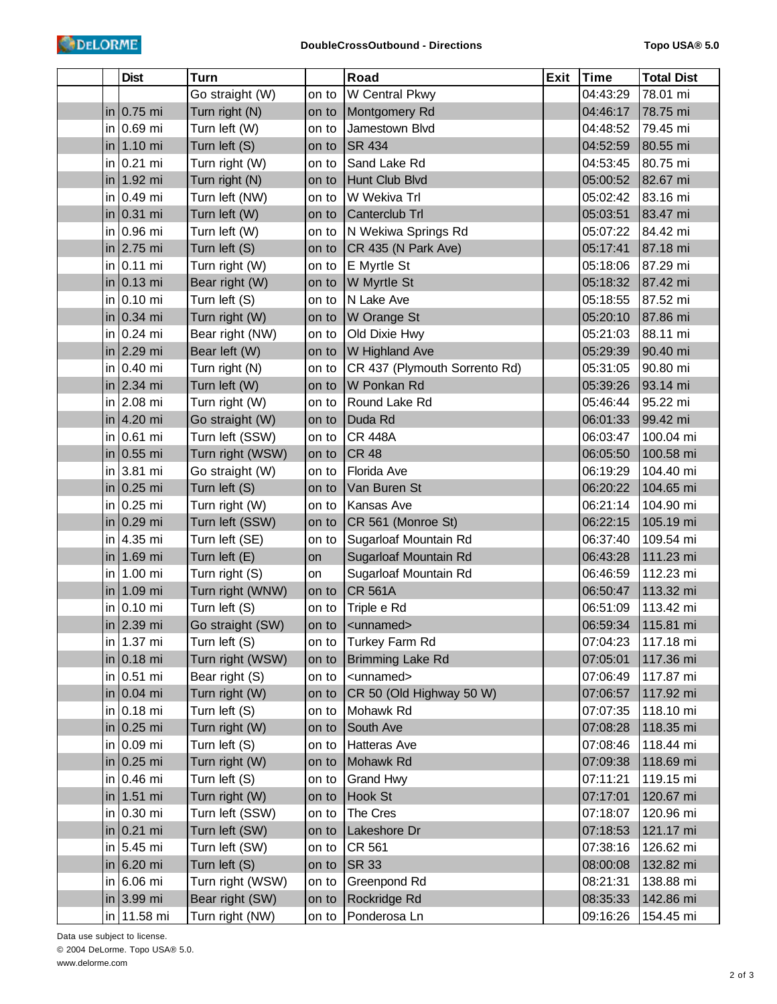|     | <b>Dist</b>           | <b>Turn</b>      |       | Road                          | Exit | <b>Time</b> | <b>Total Dist</b> |
|-----|-----------------------|------------------|-------|-------------------------------|------|-------------|-------------------|
|     |                       | Go straight (W)  | on to | W Central Pkwy                |      | 04:43:29    | 78.01 mi          |
|     | in $0.75$ mi          | Turn right (N)   | on to | Montgomery Rd                 |      | 04:46:17    | 78.75 mi          |
| in. | 0.69 mi               | Turn left (W)    | on to | Jamestown Blvd                |      | 04:48:52    | 79.45 mi          |
|     | in   1.10 mi          | Turn left (S)    | on to | <b>SR 434</b>                 |      | 04:52:59    | 80.55 mi          |
|     | in $0.21$ mi          | Turn right (W)   | on to | Sand Lake Rd                  |      | 04:53:45    | 80.75 mi          |
|     | in   $1.92$ mi        | Turn right (N)   | on to | Hunt Club Blvd                |      | 05:00:52    | 82.67 mi          |
|     | in 0.49 mi            | Turn left (NW)   | on to | W Wekiva Trl                  |      | 05:02:42    | 83.16 mi          |
|     | in $0.31$ mi          | Turn left (W)    | on to | Canterclub Trl                |      | 05:03:51    | 83.47 mi          |
|     | in 0.96 mi            | Turn left (W)    | on to | N Wekiwa Springs Rd           |      | 05:07:22    | 84.42 mi          |
|     | in $ 2.75$ mi         | Turn left (S)    | on to | CR 435 (N Park Ave)           |      | 05:17:41    | 87.18 mi          |
| in  | $ 0.11 \text{ mi} $   | Turn right (W)   | on to | E Myrtle St                   |      | 05:18:06    | 87.29 mi          |
|     | in $0.13$ mi          | Bear right (W)   | on to | W Myrtle St                   |      | 05:18:32    | 87.42 mi          |
|     | in 0.10 mi            | Turn left (S)    | on to | N Lake Ave                    |      | 05:18:55    | 87.52 mi          |
|     | in $0.34$ mi          | Turn right (W)   | on to | W Orange St                   |      | 05:20:10    | 87.86 mi          |
|     | in $0.24$ mi          | Bear right (NW)  | on to | Old Dixie Hwy                 |      | 05:21:03    | 88.11 mi          |
|     | in $ 2.29$ mi         | Bear left (W)    | on to | W Highland Ave                |      | 05:29:39    | 90.40 mi          |
|     | in 0.40 mi            | Turn right (N)   | on to | CR 437 (Plymouth Sorrento Rd) |      | 05:31:05    | 90.80 mi          |
|     | in $2.34$ mi          | Turn left (W)    | on to | W Ponkan Rd                   |      | 05:39:26    | 93.14 mi          |
|     | in $ 2.08$ mi         | Turn right (W)   | on to | Round Lake Rd                 |      | 05:46:44    | 95.22 mi          |
|     | in $ 4.20$ mi         | Go straight (W)  | on to | Duda Rd                       |      | 06:01:33    | 99.42 mi          |
|     | in $0.61$ mi          | Turn left (SSW)  | on to | <b>CR 448A</b>                |      | 06:03:47    | 100.04 mi         |
|     | in $0.55$ mi          | Turn right (WSW) | on to | <b>CR 48</b>                  |      | 06:05:50    | 100.58 mi         |
| in. | 3.81 mi               | Go straight (W)  | on to | Florida Ave                   |      | 06:19:29    | 104.40 mi         |
|     | in $0.25$ mi          | Turn left (S)    | on to | Van Buren St                  |      | 06:20:22    | 104.65 mi         |
|     | in $0.25$ mi          | Turn right (W)   | on to | Kansas Ave                    |      | 06:21:14    | 104.90 mi         |
|     | in $0.29$ mi          | Turn left (SSW)  | on to | CR 561 (Monroe St)            |      | 06:22:15    | 105.19 mi         |
| in. | 4.35 mi               | Turn left (SE)   | on to | Sugarloaf Mountain Rd         |      | 06:37:40    | 109.54 mi         |
|     | in   $1.69$ mi        | Turn left (E)    | on    | Sugarloaf Mountain Rd         |      | 06:43:28    | 111.23 mi         |
|     | in 1.00 mi            | Turn right (S)   | on    | Sugarloaf Mountain Rd         |      | 06:46:59    | 112.23 mi         |
|     | in   $1.09$ mi        | Turn right (WNW) | on to | <b>CR 561A</b>                |      | 06:50:47    | 113.32 mi         |
| in  | $0.10$ mi             | Turn left (S)    | on to | Triple e Rd                   |      | 06:51:09    | 113.42 mi         |
|     | in $ 2.39$ mi         | Go straight (SW) | on to | <unnamed></unnamed>           |      | 06:59:34    | 115.81 mi         |
|     | in 1.37 mi            | Turn left (S)    | on to | Turkey Farm Rd                |      | 07:04:23    | 117.18 mi         |
|     | in $0.18$ mi          | Turn right (WSW) | on to | <b>Brimming Lake Rd</b>       |      | 07:05:01    | 117.36 mi         |
|     | in 0.51 mi            | Bear right (S)   | on to | <unnamed></unnamed>           |      | 07:06:49    | 117.87 mi         |
|     | in $0.04$ mi          | Turn right (W)   | on to | CR 50 (Old Highway 50 W)      |      | 07:06:57    | 117.92 mi         |
|     | in $0.18$ mi          | Turn left (S)    | on to | Mohawk Rd                     |      | 07:07:35    | 118.10 mi         |
|     | in $0.25$ mi          | Turn right (W)   | on to | South Ave                     |      | 07:08:28    | 118.35 mi         |
|     | in 0.09 mi            | Turn left (S)    | on to | Hatteras Ave                  |      | 07:08:46    | 118.44 mi         |
|     | in $0.25$ mi          | Turn right (W)   | on to | Mohawk Rd                     |      | 07:09:38    | 118.69 mi         |
|     | in 0.46 mi            | Turn left (S)    | on to | Grand Hwy                     |      | 07:11:21    | 119.15 mi         |
|     | in 1.51 mi            | Turn right (W)   | on to | Hook St                       |      | 07:17:01    | 120.67 mi         |
|     | in 0.30 mi            | Turn left (SSW)  | on to | The Cres                      |      | 07:18:07    | 120.96 mi         |
|     | $\ln 0.21 \text{ mi}$ | Turn left (SW)   | on to | Lakeshore Dr                  |      | 07:18:53    | 121.17 mi         |
|     | in 5.45 mi            | Turn left (SW)   | on to | CR 561                        |      | 07:38:16    | 126.62 mi         |
|     | in $6.20$ mi          | Turn left (S)    | on to | <b>SR 33</b>                  |      | 08:00:08    | 132.82 mi         |
|     | in 6.06 mi            | Turn right (WSW) | on to | Greenpond Rd                  |      | 08:21:31    | 138.88 mi         |
|     | in $3.99$ mi          | Bear right (SW)  | on to | Rockridge Rd                  |      | 08:35:33    | 142.86 mi         |
|     | in 11.58 mi           | Turn right (NW)  | on to | Ponderosa Ln                  |      | 09:16:26    | 154.45 mi         |

Data use subject to license. © 2004 DeLorme. Topo USA® 5.0. www.delorme.com